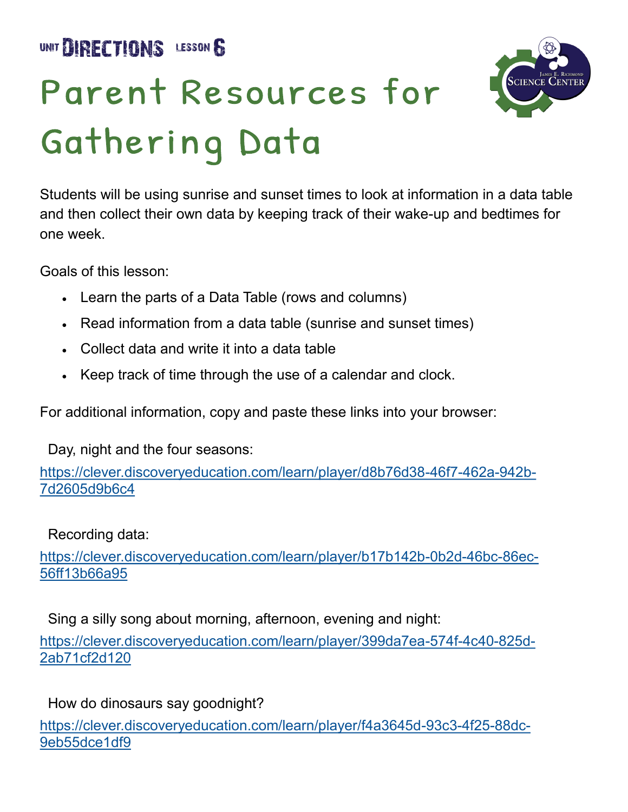UNIT DIRECTIONS LESSON &

## Parent Resources for Gathering Data



Students will be using sunrise and sunset times to look at information in a data table and then collect their own data by keeping track of their wake-up and bedtimes for one week.

Goals of this lesson:

- Learn the parts of a Data Table (rows and columns)
- Read information from a data table (sunrise and sunset times)
- Collect data and write it into a data table
- Keep track of time through the use of a calendar and clock.

For additional information, copy and paste these links into your browser:

Day, night and the four seasons:

[https://clever.discoveryeducation.com/learn/player/d8b76d38](https://clever.discoveryeducation.com/learn/player/d8b76d38-46f7-462a-942b-7d2605d9b6c4)-46f7-462a-942b-[7d2605d9b6c4](https://clever.discoveryeducation.com/learn/player/d8b76d38-46f7-462a-942b-7d2605d9b6c4)

Recording data:

[https://clever.discoveryeducation.com/learn/player/b17b142b](https://clever.discoveryeducation.com/learn/player/b17b142b-0b2d-46bc-86ec-56ff13b66a95)-0b2d-46bc-86ec-[56ff13b66a95](https://clever.discoveryeducation.com/learn/player/b17b142b-0b2d-46bc-86ec-56ff13b66a95)

 Sing a silly song about morning, afternoon, evening and night: [https://clever.discoveryeducation.com/learn/player/399da7ea](https://clever.discoveryeducation.com/learn/player/399da7ea-574f-4c40-825d-2ab71cf2d120)-574f-4c40-825d-[2ab71cf2d120](https://clever.discoveryeducation.com/learn/player/399da7ea-574f-4c40-825d-2ab71cf2d120)

How do dinosaurs say goodnight?

[https://clever.discoveryeducation.com/learn/player/f4a3645d](https://clever.discoveryeducation.com/learn/player/f4a3645d-93c3-4f25-88dc-9eb55dce1df9)-93c3-4f25-88dc-[9eb55dce1df9](https://clever.discoveryeducation.com/learn/player/f4a3645d-93c3-4f25-88dc-9eb55dce1df9)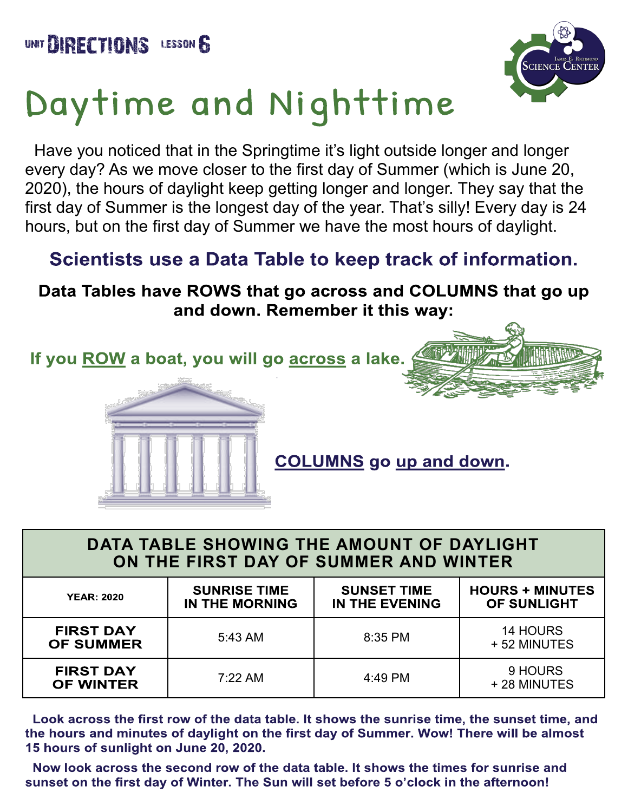

## Daytime and Nighttime

Have you noticed that in the Springtime it's light outside longer and longer every day? As we move closer to the first day of Summer (which is June 20, 2020), the hours of daylight keep getting longer and longer. They say that the first day of Summer is the longest day of the year. That's silly! Every day is 24 hours, but on the first day of Summer we have the most hours of daylight.

## Scientists use a Data Table to keep track of information.

Data Tables have ROWS that go across and COLUMNS that go up and down. Remember it this way:

If you ROW a boat, you will go across a lake.



**COLUMNS** go up and down.

| DATA TABLE SHOWING THE AMOUNT OF DAYLIGHT<br>ON THE FIRST DAY OF SUMMER AND WINTER |                                       |                                             |                                       |  |  |  |
|------------------------------------------------------------------------------------|---------------------------------------|---------------------------------------------|---------------------------------------|--|--|--|
| <b>YEAR: 2020</b>                                                                  | <b>SUNRISE TIME</b><br>IN THE MORNING | <b>SUNSET TIME</b><br><b>IN THE EVENING</b> | <b>HOURS + MINUTES</b><br>OF SUNLIGHT |  |  |  |
| <b>FIRST DAY</b><br><b>OF SUMMER</b>                                               | 5:43 AM                               | 8:35 PM                                     | <b>14 HOURS</b><br>+52 MINUTES        |  |  |  |
| <b>FIRST DAY</b><br><b>OF WINTER</b>                                               | 7:22 AM                               | 4:49 PM                                     | 9 HOURS<br>+28 MINUTES                |  |  |  |

Look across the first row of the data table. It shows the sunrise time, the sunset time, and the hours and minutes of daylight on the first day of Summer. Wow! There will be almost 15 hours of sunlight on June 20, 2020.

Now look across the second row of the data table. It shows the times for sunrise and sunset on the first day of Winter. The Sun will set before 5 o'clock in the afternoon!